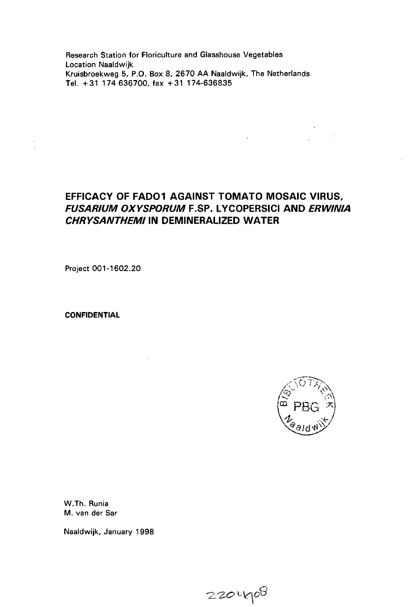Research Station for Floriculture and Glasshouse Vegetables Location Naaldwijk Kruisbroekweg 5, P.O. Box 8, 2670 AA Naaldwijk, The Netherlands Tel. +31 174 636700, fax +31 174-636835

## **EFFICACY OF FAD01 AGAINST TOMATO MOSAIC VIRUS, FUSARIUM OXYSPORUM F.SP. LYCOPERSICI AND ERWINIA CHRYSANTHEMI IN DEMINERALIZED WATER**

Project 001-1602.20

**CONFIDENTIAL** 



W.Th. Runia M. van der Sar

Naaldwijk, January 1998

*'Z.'ZCH'teO \£\t* **S**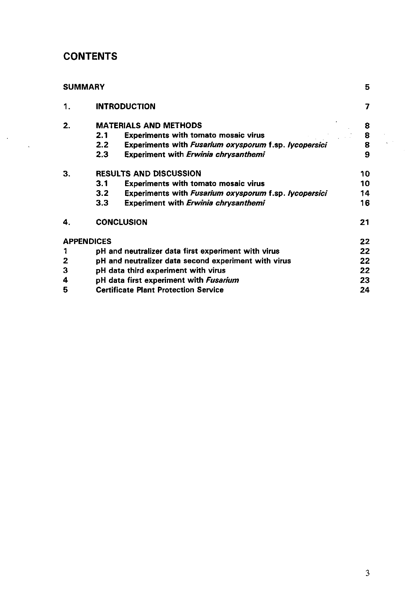## **CONTENTS**

 $\label{eq:2} \frac{1}{\sqrt{2}}\sum_{i=1}^n\frac{1}{\sqrt{2}}\sum_{i=1}^n\frac{1}{\sqrt{2}}\sum_{i=1}^n\frac{1}{\sqrt{2}}\sum_{i=1}^n\frac{1}{\sqrt{2}}\sum_{i=1}^n\frac{1}{\sqrt{2}}\sum_{i=1}^n\frac{1}{\sqrt{2}}\sum_{i=1}^n\frac{1}{\sqrt{2}}\sum_{i=1}^n\frac{1}{\sqrt{2}}\sum_{i=1}^n\frac{1}{\sqrt{2}}\sum_{i=1}^n\frac{1}{\sqrt{2}}\sum_{i=1}^n\frac{1$ 

|              | <b>SUMMARY</b>    |                                                       | 5  |  |
|--------------|-------------------|-------------------------------------------------------|----|--|
| 1.           |                   | <b>INTRODUCTION</b>                                   | 7  |  |
| 2.           |                   | <b>MATERIALS AND METHODS</b>                          | 8  |  |
|              | 2.1               | Experiments with tomato mosaic virus                  | 8  |  |
|              | 2.2               | Experiments with Fusarium oxysporum f.sp. lycopersici |    |  |
|              | 2.3 <sub>2</sub>  | Experiment with Erwinia chrysanthemi                  | 9  |  |
| 3.           |                   | <b>RESULTS AND DISCUSSION</b>                         | 10 |  |
|              | 3.1               | <b>Experiments with tomato mosaic virus</b>           | 10 |  |
|              | 3.2               | Experiments with Fusarium oxysporum f.sp. lycopersici | 14 |  |
|              | 3.3 <sub>1</sub>  | Experiment with Erwinia chrysanthemi                  | 16 |  |
| 4.           |                   | <b>CONCLUSION</b>                                     | 21 |  |
|              | <b>APPENDICES</b> |                                                       | 22 |  |
| 1            |                   | pH and neutralizer data first experiment with virus   | 22 |  |
| $\mathbf{2}$ |                   | pH and neutralizer data second experiment with virus  | 22 |  |
| 3            |                   | pH data third experiment with virus                   | 22 |  |
| 4            |                   | pH data first experiment with Fusarium                | 23 |  |
| 5            |                   | <b>Certificate Plant Protection Service</b>           | 24 |  |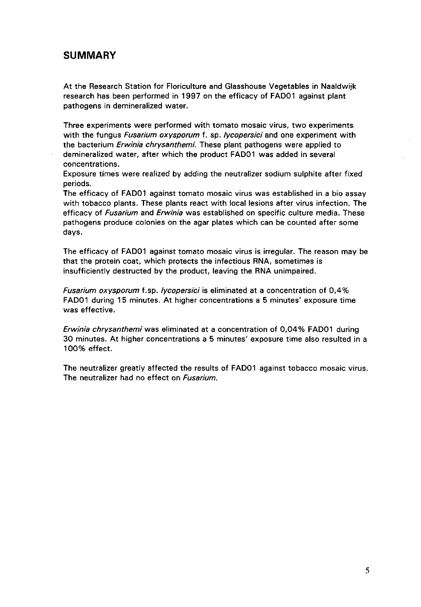### **SUMMARY**

At the Research Station for Floriculture and Glasshouse Vegetables in Naaldwijk research has been performed in 1997 on the efficacy of FAD01 against plant pathogens in demineralized water.

Three experiments were performed with tomato mosaic virus, two experiments with the fungus Fusarium oxysporum f. sp. lycopersici and one experiment with the bacterium *Erwinia chrysanthemi*. These plant pathogens were applied to demineralized water, after which the product FAD01 was added in several concentrations.

Exposure times were realized by adding the neutralizer sodium sulphite after fixed periods.

The efficacy of FAD01 against tomato mosaic virus was established in a bio assay with tobacco plants. These plants react with local lesions after virus infection. The efficacy of *Fusarium* and *Erwinia* was established on specific culture media. These pathogens produce colonies on the agar plates which can be counted after some days.

The efficacy of FAD01 against tomato mosaic virus is irregular. The reason may be that the protein coat, which protects the infectious RNA, sometimes is insufficiently destructed by the product, leaving the RNA unimpaired.

Fusarium oxysporum f.sp. lycopersici is eliminated at a concentration of 0,4% FAD01 during 15 minutes. At higher concentrations a 5 minutes' exposure time was effective.

Erwinia chrysanthemi was eliminated at a concentration of 0,04% FAD01 during 30 minutes. At higher concentrations a 5 minutes' exposure time also resulted in a 100% effect.

The neutralizer greatly affected the results of FAD01 against tobacco mosaic virus. The neutralizer had no effect on Fusarium.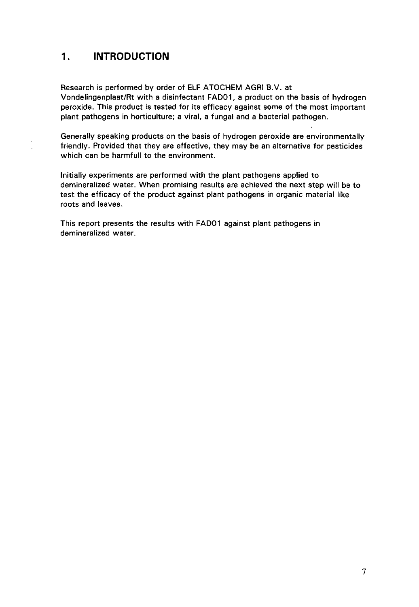#### $1.$ **INTRODUCTION**

Research is performed by order of ELF ATOCHEM AGRI B.V. at

Vondelingenplaat/Rt with a disinfectant FAD01, a product on the basis of hydrogen peroxide. This product is tested for its efficacy against some of the most important plant pathogens in horticulture; a viral, a fungal and a bacterial pathogen.

Generally speaking products on the basis of hydrogen peroxide are environmentally friendly. Provided that they are effective, they may be an alternative for pesticides which can be harmfull to the environment.

Initially experiments are performed with the plant pathogens applied to demineralized water. When promising results are achieved the next step will be to test the efficacy of the product against plant pathogens in organic material like roots and leaves.

This report presents the results with FAD01 against plant pathogens in demineralized water.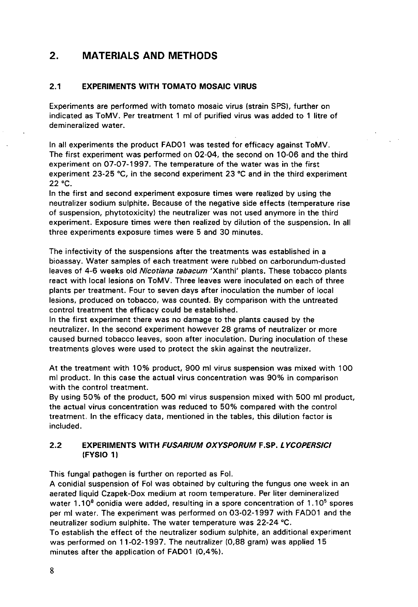#### $2.$ **MATERIALS AND METHODS**

### **2.1 EXPERIMENTS WITH TOMATO MOSAIC VIRUS**

Experiments are performed with tomato mosaic virus (strain SPS), further on indicated as ToMV. Per treatment 1 ml of purified virus was added to 1 litre of demineralized water.

In all experiments the product FAD01 was tested for efficacy against ToMV. The first experiment was performed on 02-04, the second on 10-06 and the third experiment on 07-07-1997. The temperature of the water was in the first experiment 23-25 °C, in the second experiment 23 °C and in the third experiment 22 °C.

In the first and second experiment exposure times were realized by using the neutralizer sodium sulphite. Because of the negative side effects (temperature rise of suspension, phytotoxicity) the neutralizer was not used anymore in the third experiment. Exposure times were then realized by dilution of the suspension. In all three experiments exposure times were 5 and 30 minutes.

The infectivity of the suspensions after the treatments was established in a bioassay. Water samples of each treatment were rubbed on carborundum-dusted leaves of 4-6 weeks old Nicotiana tabacum 'Xanthi' plants. These tobacco plants react with local lesions on ToMV. Three leaves were inoculated on each of three plants per treatment. Four to seven days after inoculation the number of local lesions, produced on tobacco, was counted. By comparison with the untreated control treatment the efficacy could be established.

In the first experiment there was no damage to the plants caused by the neutralizer. In the second experiment however 28 grams of neutralizer or more caused burned tobacco leaves, soon after inoculation. During inoculation of these treatments gloves were used to protect the skin against the neutralizer.

At the treatment with 10% product, 900 ml virus suspension was mixed with 100 ml product. In this case the actual virus concentration was 90% in comparison with the control treatment.

By using 50 % of the product, 500 ml virus suspension mixed with 500 ml product, the actual virus concentration was reduced to 50% compared with the control treatment. In the efficacy data, mentioned in the tables, this dilution factor is included.

#### **2.2 EXPERIMENTS WITH FUSARIUM OXYSPORUM F.SP. LYCOPERSICI (FYSIO 1)**

This fungal pathogen is further on reported as Fol.

A conidial suspension of Fol was obtained by culturing the fungus one week in an aerated liquid Czapek-Dox medium at room temperature. Per liter demineralized water 1.10<sup>8</sup> conidia were added, resulting in a spore concentration of 1.10<sup>5</sup> per ml water. The experiment was performed on 03-02-1997 with FAD01 and the neutralizer sodium sulphite. The water temperature was 22-24 °C.

To establish the effect of the neutralizer sodium sulphite, an additional experiment was performed on 11-02-1997. The neutralizer (0,88 gram) was applied 15 minutes after the application of FAD01 (0,4%).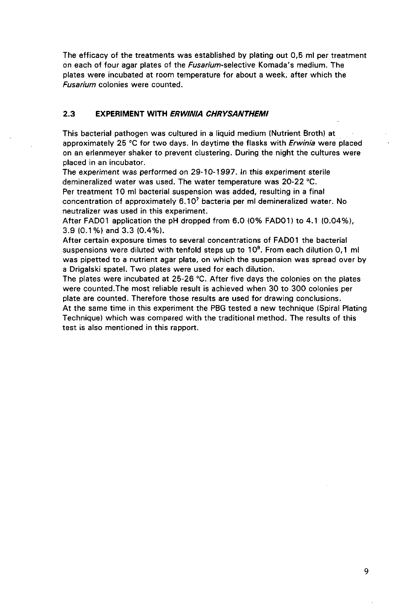The efficacy of the treatments was established by plating out 0,5 ml per treatment on each of four agar plates of the *Fusarium*-selective Komada's medium. The plates were incubated at room temperature for about a week, after which the Fusarium colonies were counted.

#### **2.3 EXPERIMENT WITH ERWINIA CHRYSANTHEMI**

This bacterial pathogen was cultured in a liquid medium (Nutrient Broth) at approximately 25 °C for two days. In daytime the flasks with *Erwinia* were placed on an erlenmeyer shaker to prevent clustering. During the night the cultures were placed in an incubator.

The experiment was performed on 29-10-1997. In this experiment sterile demineralized water was used. The water temperature was 20-22 °C. Per treatment 10 ml bacterial suspension was added, resulting in a final concentration of approximately 6.10<sup>7</sup> bacteria per ml demineralized wate neutralizer was used in this experiment.

After FAD01 application the pH dropped from 6.0 (0% FAD01) to 4.1 (0.04%), 3.9 (0.1%) and 3.3 (0.4%).

After certain exposure times to several concentrations of FAD01 the bacterial suspensions were diluted with tenfold steps up to 10<sup>9</sup>. From each dilutior was pipetted to a nutrient agar plate, on which the suspension was spread over by a Drigalski spatel. Two plates were used for each dilution.

The plates were incubated at 25-26 °C. After five days the colonies on the plates were counted.The most reliable result is achieved when 30 to 300 colonies per plate are counted. Therefore those results are used for drawing conclusions. At the same time in this experiment the PBG tested a new technique (Spiral Plating Technique) which was compared with the traditional method. The results of this test is also mentioned in this rapport.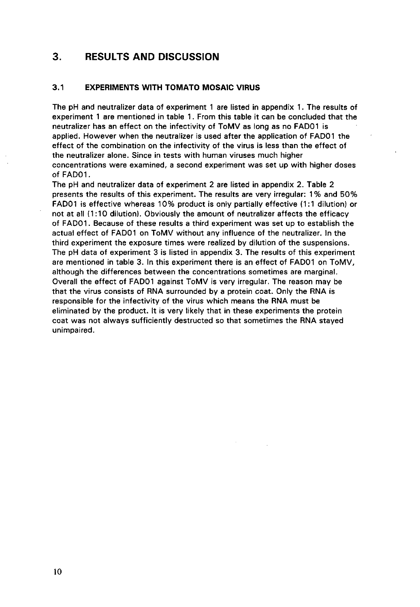### **3. RESULTS AND DISCUSSION**

#### **3.1 EXPERIMENTS WITH TOMATO MOSAIC VIRUS**

The pH and neutralizer data of experiment 1 are listed in appendix 1. The results of experiment 1 are mentioned in table 1. From this table it can be concluded that the neutralizer has an effect on the infectivity of ToMV as long as no FAD01 is applied. However when the neutralizer is used after the application of FADÓ1 the effect of the combination on the infectivity of the virus is less than the effect of the neutralizer alone. Since in tests with human viruses much higher concentrations were examined, a second experiment was set up with higher doses of FAD01.

The pH and neutralizer data of experiment 2 are listed in appendix 2. Table 2 presents the results of this experiment. The results are very irregular: 1 % and 50% FAD01 is effective whereas 10% product is only partially effective (1:1 dilution) or not at all (1:10 dilution). Obviously the amount of neutralizer affects the efficacy of FAD01. Because of these results a third experiment was set up to establish the actual effect of FAD01 on ToMV without any influence of the neutralizer. In the third experiment the exposure times were realized by dilution of the suspensions. The pH data of experiment 3 is listed in appendix 3. The results of this experiment are mentioned in table 3. In this experiment there is an effect of FAD01 on ToMV, although the differences between the concentrations sometimes are marginal. Overall the effect of FAD01 against ToMV is very irregular. The reason may be that the virus consists of RNA surrounded by a protein coat. Only the RNA is responsible for the infectivity of the virus which means the RNA must be eliminated by the product. It is very likely that in these experiments the protein coat was not always sufficiently destructed so that sometimes the RNA stayed unimpaired.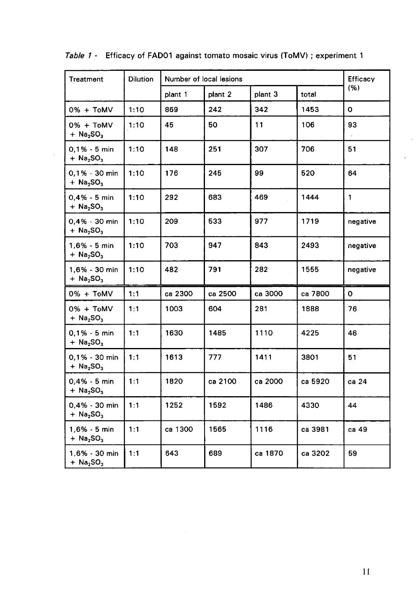| <b>Treatment</b>                                      | <b>Dilution</b> | Number of local lesions |         |         |         | Efficacy     |
|-------------------------------------------------------|-----------------|-------------------------|---------|---------|---------|--------------|
|                                                       |                 | plant 1                 | plant 2 | plant 3 | total   | (%)          |
| 0% + ToMV                                             | 1:10            | 869                     | 242     | 342     | 1453    | $\mathbf{o}$ |
| 0% + ToMV<br>$+$ Na <sub>2</sub> SO <sub>3</sub>      | 1:10            | 45                      | 50      | 11      | 106     | 93           |
| $0.1% - 5 min$<br>$+$ Na <sub>2</sub> SO <sub>3</sub> | 1:10            | 148                     | 251     | 307     | 706     | 51           |
| 0,1% - 30 min<br>+ $Na2SO3$                           | 1:10            | 176                     | 245     | 99      | 520     | 64           |
| $0,4% - 5$ min<br>+ $Na2SO3$                          | 1:10            | 292                     | 683     | 469     | 1444    | $\mathbf{1}$ |
| $0,4% - 30$ min<br>+ $Na2SO3$                         | 1:10            | 209                     | 533     | 977     | 1719    | negative     |
| $1,6% - 5$ min<br>+ $Na2SO3$                          | 1:10            | 703                     | 947     | 843     | 2493    | negative     |
| 1,6% - 30 min<br>$+$ Na <sub>2</sub> SO <sub>3</sub>  | 1:10            | 482                     | 791     | 282     | 1555    | negative     |
| 0% + ToMV                                             | 1:1             | ca 2300                 | ca 2500 | ca 3000 | ca 7800 | $\mathbf 0$  |
| 0% + ToMV<br>$+$ Na <sub>2</sub> SO <sub>3</sub>      | 1:1             | 1003                    | 604     | 281     | 1888    | 76           |
| $0,1% - 5$ min<br>$+$ Na <sub>2</sub> SO <sub>3</sub> | 1:1             | 1630                    | 1485    | 1110    | 4225    | 46           |
| 0,1% - 30 min<br>+ $Na2SO3$                           | 1:1             | 1613                    | 777     | 1411    | 3801    | 51           |
| $0,4% - 5$ min<br>$+$ Na <sub>2</sub> SO <sub>3</sub> | 1:1             | 1820                    | ca 2100 | ca 2000 | ca 5920 | ca 24        |
| 0,4% - 30 min<br>+ $Na2SO3$                           | 1:1             | 1252                    | 1592    | 1486    | 4330    | 44           |
| $1,6% - 5$ min<br>$+$ Na <sub>2</sub> SO <sub>3</sub> | 1:1             | ca 1300                 | 1565    | 1116    | ca 3981 | ca 49        |
| 1,6% - 30 min<br>+ $Na2SO3$                           | 1:1             | 643                     | 689     | ca 1870 | ca 3202 | 59           |

Table 1 - Efficacy of FAD01 against tomato mosaic virus (ToMV) ; experiment 1

 $\mathcal{L}^{\mathcal{L}}$ 

 $\ddot{\phantom{a}}$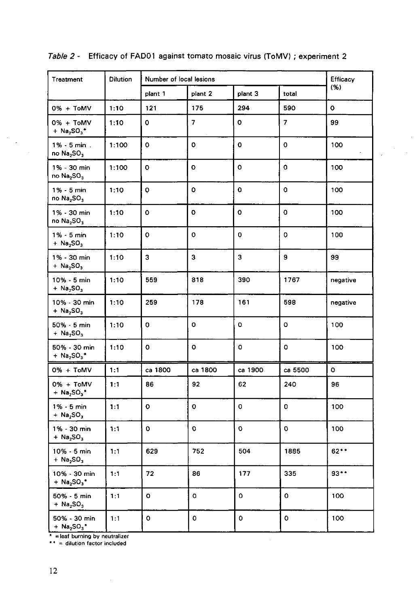| Treatment                                            | <b>Dilution</b> | Number of local lesions |                |                |                | <b>Efficacy</b> |
|------------------------------------------------------|-----------------|-------------------------|----------------|----------------|----------------|-----------------|
|                                                      |                 | plant 1                 | plant 2        | plant 3        | total          | (%)             |
| $0\% + \text{ToMV}$                                  | 1:10            | 121                     | 175            | 294            | 590            | $\mathbf 0$     |
| $0\% + ToMV$<br>+ $Na2SO3$ *                         | 1:10            | $\circ$                 | $\overline{7}$ | $\mathbf{o}$   | $\overline{7}$ | 99              |
| $1\% - 5$ min.<br>no Na <sub>2</sub> SO <sub>3</sub> | 1:100           | $\mathbf 0$             | $\mathsf O$    | $\mathbf 0$    | 0              | 100             |
| 1% - 30 min<br>no Na <sub>2</sub> SO <sub>3</sub>    | 1:100           | $\circ$                 | $\mathbf O$    | $\mathbf 0$    | $\circ$        | 100             |
| $1% - 5$ min<br>no Na <sub>2</sub> SO <sub>3</sub>   | 1:10            | $\mathbf 0$             | $\mathsf{o}\,$ | O              | O              | 100             |
| 1% - 30 min<br>no Na <sub>2</sub> SO <sub>3</sub>    | 1:10            | $\mathbf{o}$            | $\mathbf{o}$   | $\mathbf 0$    | $\mathbf{o}$   | 100             |
| $1\% - 5$ min<br>+ $Na2SO3$                          | 1:10            | $\mathbf 0$             | $\circ$        | O              | 0              | 100             |
| 1% - 30 min<br>+ $Na2SO3$                            | 1:10            | 3                       | 3              | 3              | 9              | 99              |
| 10% - 5 min<br>+ $Na2SO3$                            | 1:10            | 559                     | 818            | 390            | 1767           | negative        |
| 10% - 30 min<br>+ $Na2SO3$                           | 1:10            | 259                     | 178            | 161            | 598            | negative        |
| $50% - 5$ min<br>+ $Na2SO3$                          | 1:10            | $\mathbf 0$             | 0              | $\mathbf 0$    | o              | 100             |
| 50% - 30 min<br>+ $Na2SO3$ *                         | 1:10            | $\circ$                 | $\mathbf 0$    | $\mathbf 0$    | O              | 100             |
| 0% + ToMV                                            | 1:1             | ca 1800                 | ca 1800        | ca 1900        | ca 5500        | $\mathbf{o}$    |
| $0\% + ToMV$<br>+ $Na2SO3$ *                         | 1:1             | 86                      | 92             | 62             | 240            | 96              |
| 1% - 5 min<br>+ $Na2SO3$                             | 1:1             | $\mathbf{o}$            | $\mathbf 0$    | $\mathbf 0$    | 0              | 100             |
| 1% - 30 min<br>+ $Na2SO3$                            | 1:1             | $\mathbf 0$             | $\mathbf 0$    | $\mathbf 0$    | O              | 100             |
| 10% - 5 min<br>+ $Na2SO3$                            | 1:1             | 629                     | 752            | 504            | 1885           | $62**$          |
| 10% - 30 min<br>+ $Na2SO3$ *                         | 1:1             | 72                      | 86             | 177            | 335            | $93***$         |
| 50% - 5 min<br>+ $Na2SO3$                            | 1:1             | $\circ$                 | $\circ$        | $\mathsf{o}\,$ | 0              | 100             |
| 50% - 30 min<br>+ $Na2SO3$ *                         | 1:1             | $\mathsf{o}\,$          | $\mathbf 0$    | $\mathbf{o}$   | 0<br>$\sim$    | 100             |

### Table 2 - Efficacy of FAD01 against tomato mosaic virus (ToMV) ; experiment 2

 $\frac{1}{2} \sum_{i=1}^{n} \frac{1}{2} \sum_{j=1}^{n} \frac{1}{2} \sum_{j=1}^{n} \frac{1}{2} \sum_{j=1}^{n} \frac{1}{2} \sum_{j=1}^{n} \frac{1}{2} \sum_{j=1}^{n} \frac{1}{2} \sum_{j=1}^{n} \frac{1}{2} \sum_{j=1}^{n} \frac{1}{2} \sum_{j=1}^{n} \frac{1}{2} \sum_{j=1}^{n} \frac{1}{2} \sum_{j=1}^{n} \frac{1}{2} \sum_{j=1}^{n} \frac{1}{2} \sum_{j=1}^{n$ 

\* = leaf burning by neutralizer

\*\* = dilution factor included

 $\sim$ 

 $\frac{1}{\sqrt{2}}$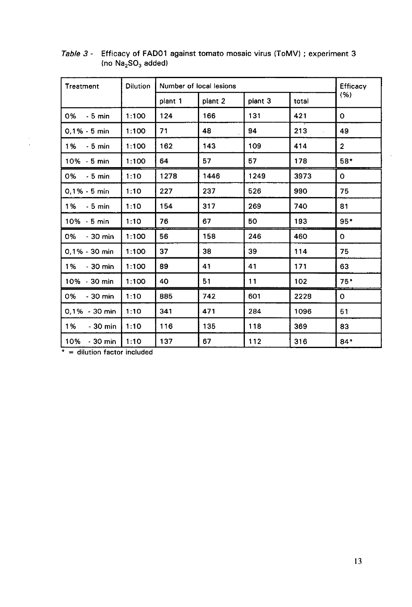| Treatment             | <b>Dilution</b> | Number of local lesions |         |         |       | Efficacy       |
|-----------------------|-----------------|-------------------------|---------|---------|-------|----------------|
|                       |                 | plant 1                 | plant 2 | plant 3 | total | (%)            |
| 0%<br>$-5$ min        | 1:100           | 124                     | 166     | 131     | 421   | $\mathbf{o}$   |
| $0.1% - 5$ min        | 1:100           | 71                      | 48      | 94      | 213   | 49             |
| $1\% - 5 \text{ min}$ | 1:100           | 162                     | 143     | 109     | 414   | 2 <sup>1</sup> |
| $10\% - 5$ min        | 1:100           | 64                      | 57      | 57      | 178   | 58*            |
| 0%<br>- 5 min         | 1:10            | 1278                    | 1446    | 1249    | 3973  | 0              |
| $0,1% - 5$ min        | 1:10            | 227                     | 237     | 526     | 990   | 75             |
| $1\% - 5 \text{ min}$ | 1:10            | 154                     | 317     | 269     | 740   | 81             |
| 10% - 5 min           | 1:10            | 76                      | 67      | 50      | 193   | $95*$          |
| 0%<br>$-30$ min       | 1:100           | 56                      | 158     | 246     | 460   | $\mathbf{o}$   |
| 0,1% - 30 min         | 1:100           | 37                      | 38      | 39      | 114   | 75             |
| 1%<br>- 30 min        | 1:100           | 89                      | 41      | 41      | 171   | 63             |
| 10% - 30 min          | 1:100           | 40                      | 51      | 11      | 102   | $75*$          |
| - 30 min<br>0%        | 1:10            | 885                     | 742     | 601     | 2228  | 0              |
| $0.1\% - 30$ min      | 1:10            | 341                     | 471     | 284     | 1096  | 51             |
| $-30$ min<br>1%       | 1:10            | 116                     | 135     | 118     | 369   | 83             |
| 10% - 30 min          | 1:10            | 137                     | 67      | 112     | 316   | $84*$          |

*Table 3* - Efficacy of FAD01 against tomato mosaic virus (ToMV) ; exper (no  $\mathsf{Na}_2\mathsf{SO}_3$  added

 $\overline{\hspace{1cm}}$  = dilution factor included

 $\frac{1}{2}$ 

 $\bar{\beta}$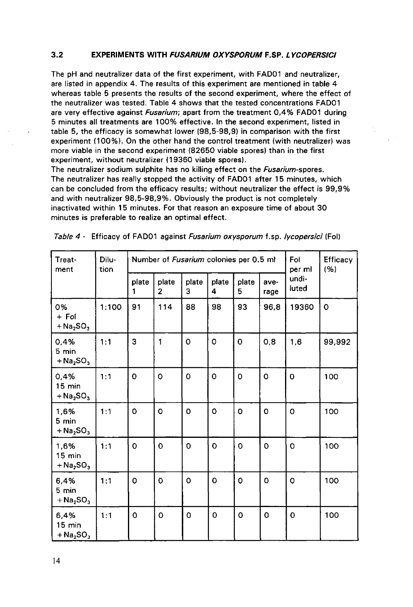#### 3.2 **EXPERIMENTS WITH FUSARIUM OXYSPORUM F.SP. LYCOPERSICI**

The pH and neutralizer data of the first experiment, with FAD01 and neutralizer, are listed in appendix 4. The results of this experiment are mentioned in table 4 whereas table 5 presents the results of the second experiment, where the effect of the neutralizer was tested. Table 4 shows that the tested concentrations FAD01 are very effective against Fusarium; apart from the treatment 0,4% FAD01 during 5 minutes all treatments are 100% effective. In the second experiment, listed in table 5, the efficacy is somewhat lower (98,5-98,9) in comparison with the first experiment (100%). On the other hand the control treatment (with neutralizer) was more viable in the second experiment (82650 viable spores) than in the first experiment, without neutralizer (19360 viable spores).

The neutralizer sodium sulphite has no killing effect on the *Fusarium*-spores. The neutralizer has really stopped the activity of FAD01 after 15 minutes, which can be concluded from the efficacy results; without neutralizer the effect is 99,9% and with neutralizer 98,5-98,9%. Obviously the product is not completely inactivated within 15 minutes. For that reason an exposure time of about 30 minutes is preferable to realize an optimal effect.

| Treat-<br>ment                                                  | Dilu-<br>tion | Number of Fusarium colonies per 0.5 ml |                         |                |             |                | Fol<br>per ml  | Efficacy<br>(%) |             |
|-----------------------------------------------------------------|---------------|----------------------------------------|-------------------------|----------------|-------------|----------------|----------------|-----------------|-------------|
|                                                                 |               | plate<br>1                             | plate<br>$\overline{2}$ | plate<br>3     | plate<br>4  | plate<br>5     | ave-<br>rage   | undi-<br>luted  |             |
| 0%<br>$+$ Fol<br>$+$ Na <sub>2</sub> SO <sub>3</sub>            | 1:100         | 91                                     | 114                     | 88             | 98          | 93             | 96,8           | 19360           | $\mathbf 0$ |
| 0,4%<br>5 min<br>$+$ Na <sub>2</sub> SO <sub>3</sub>            | 1:1           | 3                                      | 1                       | $\mathsf{O}$   | $\circ$     | $\mathbf 0$    | 0,8            | 1,6             | 99,992      |
| 0,4%<br>$15$ min<br>$+$ Na <sub>2</sub> SO <sub>3</sub>         | 1:1           | $\mathbf 0$                            | $\overline{O}$          | $\overline{O}$ | $\mathbf 0$ | $\mathbf O$    | $\mathbf 0$    | $\mathbf 0$     | 100         |
| 1,6%<br>5 min<br>$+$ Na <sub>2</sub> SO <sub>3</sub>            | 1:1           | Ō                                      | $\overline{O}$          | $\mathbf 0$    | $\mathbf 0$ | O              | $\overline{O}$ | $\mathbf 0$     | 100         |
| 1,6%<br>$15 \text{ min}$<br>$+$ Na <sub>2</sub> SO <sub>3</sub> | 1:1           | $\mathbf 0$                            | $\overline{0}$          | $\mathbf 0$    | $\mathbf 0$ | $\overline{O}$ | $\mathbf 0$    | $\mathbf 0$     | 100         |
| 6,4%<br>5 min<br>$+$ Na <sub>2</sub> SO <sub>3</sub>            | 1:1           | $\mathbf 0$                            | $\overline{0}$          | $\mathbf{o}$   | $\mathbf 0$ | $\mathbf 0$    | 0              | $\mathbf O$     | 100         |
| 6,4%<br>$15$ min<br>$+$ Na <sub>2</sub> SO <sub>3</sub>         | 1:1           | $\overline{O}$                         | $\mathbf O$             | $\mathbf O$    | $\mathbf 0$ | $\mathbf{o}$   | $\mathbf 0$    | $\mathbf 0$     | 100         |

Table 4 - Efficacy of FAD01 against Fusarium oxysporum f.sp. lycopersici (Fol)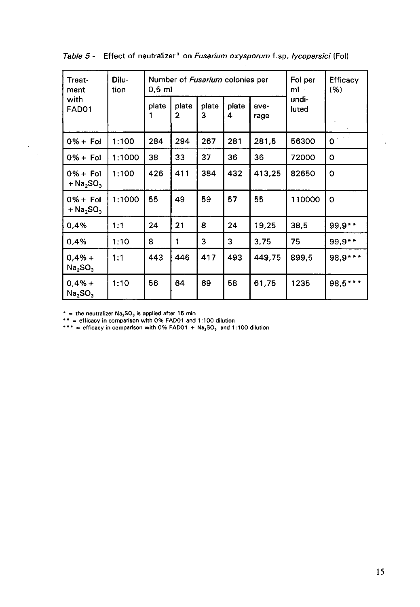| Treat-<br>ment                                     | Dilu-<br>tion | $0,5$ ml |            |            | Number of <i>Fusarium</i> colonies per |              | Fol per<br>ml  | <b>Efficacy</b><br>(%) |
|----------------------------------------------------|---------------|----------|------------|------------|----------------------------------------|--------------|----------------|------------------------|
| with<br>FAD01                                      |               | plate    | plate<br>2 | plate<br>3 | plate<br>4                             | ave-<br>rage | undi-<br>luted |                        |
| $0% + Fol$                                         | 1:100         | 284      | 294        | 267        | 281                                    | 281,5        | 56300          | $\circ$                |
| $0\% +$ Fol                                        | 1:1000        | 38       | 33         | 37         | 36                                     | 36           | 72000          | $\circ$                |
| $0\% +$ Fol<br>$+$ Na <sub>2</sub> SO <sub>3</sub> | 1:100         | 426      | 411        | 384        | 432                                    | 413.25       | 82650          | $\circ$                |
| $0% + Fol$<br>$+$ Na <sub>2</sub> SO <sub>3</sub>  | 1:1000        | 55       | 49         | 59         | 57                                     | 55           | 110000         | $\Omega$               |
| 0.4%                                               | 1:1           | 24       | 21         | 8          | 24                                     | 19,25        | 38,5           | 99,9**                 |
| 0.4%                                               | 1:10          | 8        | 1          | 3          | 3                                      | 3,75         | 75             | 99,9 **                |
| $0.4% +$<br>Na <sub>2</sub> SO <sub>3</sub>        | 1:1           | 443      | 446        | 417        | 493                                    | 449.75       | 899,5          | 98,9 ***               |
| $0.4% +$<br>Na <sub>2</sub> SO <sub>3</sub>        | 1:10          | 56       | 64         | 69         | 58                                     | 61,75        | 1235           | $98.5***$              |

Table 5 - Effect of neutralizer\* on Fusarium oxysporum f.sp. lycopersici (Fol)

the neutralizer Na $_{\rm 2}$ SO $_{\rm 3}$  is applied after 15  $\,$ 

 $\label{eq:2} \begin{split} \mathcal{L}_{\text{max}}(\mathbf{r}) = \mathcal{L}_{\text{max}}(\mathbf{r}) \end{split}$ 

 $=$  efficacy in comparison with 0% FAD01 and 1:100 di

 $=$  efficacy in comparison with 0% FAD01  $+$  Na $_{2}$ SO $_{3}$  and 1:100 dilution

 $\hat{\boldsymbol{\theta}}$  $\bar{\mathbf{r}}$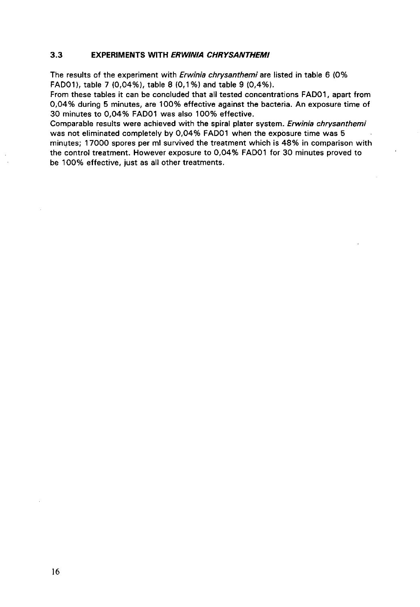### **3.3 EXPERIMENTS WITH ERWINIA CHRYSANTHEMI**

The results of the experiment with Erwinia chrysanthemi are listed in table 6 (0%) FAD01), table 7 (0,04%), table 8 (0,1%) and table 9 (0,4%).

From these tables it can be concluded that all tested concentrations FAD01, apart from 0,04% during 5 minutes, are 100% effective against the bacteria. An exposure time of 30 minutes to 0,04% FAD01 was also 100% effective.

Comparable results were achieved with the spiral plater system. Erwinia chrysanthemi was not eliminated completely by 0,04% FAD01 when the exposure time was 5 minutes; 17000 spores per ml survived the treatment which is 48% in comparison with the control treatment. However exposure to 0,04% FAD01 for 30 minutes proved to be 100% effective, just as all other treatments.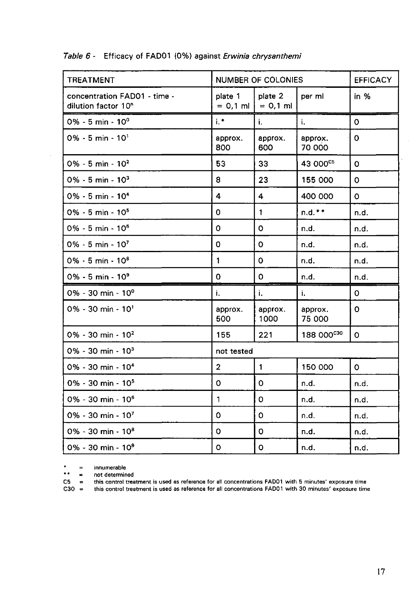| <b>TREATMENT</b>                                    |                       | <b>NUMBER OF COLONIES</b> |                        | <b>EFFICACY</b> |
|-----------------------------------------------------|-----------------------|---------------------------|------------------------|-----------------|
| concentration FAD01 - time -<br>dilution factor 10" | plate 1<br>$= 0,1$ ml | plate 2<br>$= 0,1$ ml     | per ml                 | in $%$          |
| $0\% - 5$ min - $10^{\circ}$                        | $i^*$                 | i.                        | i.                     | $\mathbf O$     |
| $0\% - 5$ min - $101$                               | approx.<br>800        | approx.<br>600            | approx.<br>70 000      | $\mathbf{o}$    |
| $0\% - 5$ min - $10^2$                              | 53                    | 33                        | 43 000 <sup>cs</sup>   | $\mathbf O$     |
| $0\% - 5$ min - $10^3$                              | 8                     | 23                        | 155 000                | $\mathbf 0$     |
| $0\% - 5$ min - $104$                               | $\overline{4}$        | 4                         | 400 000                | $\mathbf O$     |
| $0\% - 5$ min - $105$                               | $\mathbf 0$           | $\mathbf{1}$              | $n.d.***$              | n.d.            |
| $0\% - 5$ min - $10^6$                              | O                     | 0                         | n.d.                   | n.d.            |
| $0\% - 5$ min - $10^7$                              | $\mathbf O$           | $\mathbf{o}$              | n.d.                   | n.d.            |
| $0\% - 5$ min - $10^8$                              | $\mathbf{1}$          | O                         | n.d.                   | n.d.            |
| $0\% - 5$ min - $10^9$                              | $\mathbf 0$           | $\mathbf{o}$              | n.d.                   | n.d.            |
| $0\% - 30$ min - $10^{\circ}$                       | i.                    | i.                        | i.                     | $\mathbf{O}$    |
| $0\% - 30$ min - $101$                              | approx.<br>500        | approx.<br>1000           | approx.<br>75 000      | $\mathbf 0$     |
| $0\% - 30$ min - $102$                              | 155                   | 221                       | 188 000 <sup>c30</sup> | $\overline{O}$  |
| $0\% - 30$ min - $103$                              | not tested            |                           |                        |                 |
| $0\% - 30$ min - $104$                              | $\overline{2}$        | $\mathbf{1}$              | 150 000                | $\mathbf{O}$    |
| $0\% - 30$ min - $105$                              | $\circ$               | 0                         | n.d.                   | n.d.            |
| $0\% - 30$ min - $106$                              | 1                     | 0                         | n.d.                   | n.d.            |
| $0\% - 30$ min - $107$                              | 0                     | 0                         | n.d.                   | n.d.            |
| $0\% - 30$ min - $10^8$                             | O                     | 0                         | n.d.                   | n.d.            |
| $0\% - 30$ min - $10^9$                             | O                     | 0                         | n.d.                   | n.d.            |

#### Table 6 - Efficacy of FAD01 (0%) against Erwinia chrysanthemi

 $=$  innumerable

 $\hat{\boldsymbol{\beta}}$ 

\*\* = not determined<br> $C5$  = this control tree

 $C5$  = this control treatment is used as reference for all concentrations FAD01 with 5 minutes' exposure time<br> $C30$  = this control treatment is used as reference for all concentrations FAD01 with 30 minutes' exposure time

this control treatment is used as reference for all concentrations FAD01 with 30 minutes' exposure time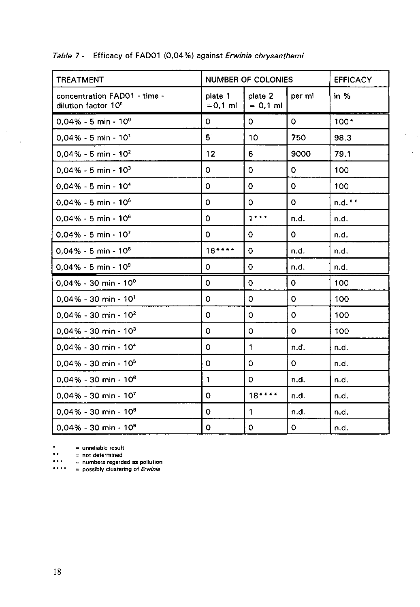| <b>TREATMENT</b>                                                |                       | <b>NUMBER OF COLONIES</b> |              | <b>EFFICACY</b> |
|-----------------------------------------------------------------|-----------------------|---------------------------|--------------|-----------------|
| concentration FAD01 - time -<br>dilution factor 10 <sup>n</sup> | plate 1<br>$= 0,1$ ml | plate 2<br>$= 0,1$ ml     | per ml       | in $%$          |
| $0.04\% - 5$ min - 10 <sup>o</sup>                              | 0                     | $\bullet$                 | $\mathbf{O}$ | $100*$          |
| $0,04\% - 5$ min - $101$                                        | 5                     | 10                        | 750          | 98.3            |
| $0,04\% - 5$ min - $10^2$                                       | 12                    | 6.                        | 9000         | 79.1            |
| $0.04\% - 5$ min - $103$                                        | 0                     | 0                         | 0            | 100             |
| $0.04\% - 5$ min - $104$                                        | $\mathbf O$           | $\mathbf 0$               | $\mathbf{O}$ | 100             |
| $0,04\% - 5$ min - $105$                                        | 0                     | 0                         | $\mathbf 0$  | $n.d.$ **       |
| $0.04\% - 5$ min - $10^6$                                       | 0                     | $1***$                    | n.d.         | n.d.            |
| $0,04\% - 5$ min - $107$                                        | 0                     | $\mathbf 0$               | $\mathbf 0$  | n.d.            |
| $0.04\% - 5$ min - $10^8$                                       | $16***$               | 0                         | n.d.         | n.d.            |
| $0.04\% - 5$ min - $10^9$                                       | 0                     | 0                         | n.d.         | n.d.            |
| $0,04\% - 30$ min - $10^{\circ}$                                | $\mathbf{o}$          | $\mathbf 0$               | $\mathbf 0$  | 100             |
| $0.04\% - 30$ min - $101$                                       | 0                     | 0                         | 0            | 100             |
| $0.04\% - 30$ min - $102$                                       | $\mathbf O$           | 0                         | $\mathbf{o}$ | 100             |
| $0,04\% - 30$ min - $10^3$                                      | $\Omega$              | $\circ$                   | $\mathbf{o}$ | 100             |
| $0.04\% - 30$ min - $104$                                       | $\mathbf 0$           | 1.                        | n.d.         | n.d.            |
| $0.04\% - 30$ min - $105$                                       | $\mathbf 0$           | $\mathbf O$               | $\mathbf 0$  | n.d.            |
| $0.04\% - 30$ min - $10^6$                                      | $\mathbf{1}$          | $\mathbf O$               | n.d.         | n.d.            |
| $0.04\% - 30$ min - $107$                                       | 0                     | $18***$                   | n.d.         | n.d.            |
| $0.04\% - 30$ min - $10^8$                                      | $\mathbf 0$           | 1                         | n.d.         | n.d.            |
| $0.04\% - 30$ min - $10^9$                                      | $\mathbf 0$           | $\overline{0}$            | $\mathbf O$  | n.d.            |

 $\bar{\alpha}$ 

### Table 7 - Efficacy of FAD01 (0,04%) against Erwinia chrysanthemi

= unreliable result

= not determined

 $=$  numbers regarded as pollution

 $......$ = possibly clustering of *Erwin*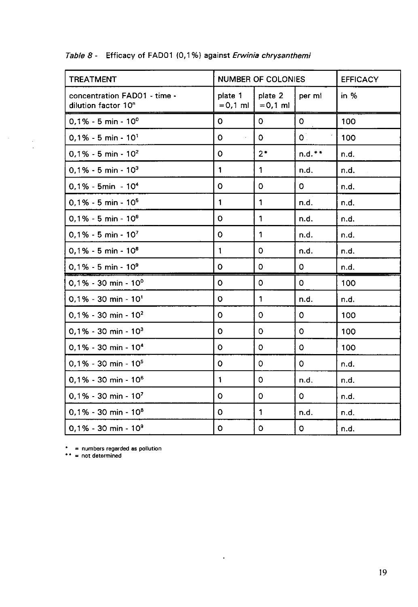| <b>TREATMENT</b>                                                |                       | <b>NUMBER OF COLONIES</b> |                     | <b>EFFICACY</b> |
|-----------------------------------------------------------------|-----------------------|---------------------------|---------------------|-----------------|
| concentration FAD01 - time -<br>dilution factor 10 <sup>n</sup> | plate 1<br>$= 0,1$ ml | plate 2<br>$= 0,1$ ml     | per ml              | in $%$          |
| $0,1% - 5$ min - $10^{\circ}$                                   | $\mathbf 0$           | $\mathbf O$               | $\overline{O}$      | 100             |
| $0,1\% - 5$ min - $101$                                         | $\Omega$              | $\mathbf 0$               | $\mathbf{O}^{\top}$ | 100             |
| $0,1\% - 5$ min - $10^2$                                        | $\mathbf O$           | $2*$                      | $n.d.$ **           | n.d.            |
| $0,1\% - 5$ min - $10^3$                                        | 1                     | 1                         | n.d.                | n.d.            |
| $0,1\% - 5$ min - 10 <sup>4</sup>                               | $\mathbf O$           | $\mathbf O$               | $\mathbf 0$         | n.d.            |
| $0,1\% - 5$ min - $105$                                         | 1                     | 1                         | n.d.                | n.d.            |
| $0.1\% - 5$ min - $10^6$                                        | $\mathbf 0$           | 1                         | n.d.                | n.d.            |
| $0,1\% - 5$ min - $107$                                         | $\mathbf 0$           | $\mathbf 1$               | n.d.                | n.d.            |
| $0,1\% - 5$ min - $10^8$                                        | 1                     | $\mathbf O$               | n.d.                | n.d.            |
| $0,1\% - 5$ min - $10^9$                                        | $\mathbf O$           | $\mathbf 0$               | $\overline{O}$      | n.d.            |
| $0,1\% - 30$ min - $10^{\circ}$                                 | $\mathbf 0$           | $\circ$                   | $\mathbf{O}$        | 100             |
| $0,1\% - 30$ min - $101$                                        | $\mathbf O$           | 1                         | n.d.                | n.d.            |
| $0,1\% - 30$ min - $102$                                        | $\mathbf 0$           | $\mathbf 0$               | $\mathbf 0$         | 100             |
| $0,1\% - 30$ min - $103$                                        | $\mathbf O$           | $\mathbf 0$               | $\mathbf{o}$        | 100             |
| $0.1\% - 30$ min - $104$                                        | $\circ$               | $\circ$                   | $\mathbf 0$         | 100             |
| $0,1\% - 30$ min - $105$                                        | $\mathbf O$           | $\mathbf 0$               | $\mathbf{O}$        | n.d.            |
| $0,1\% - 30$ min - $10^6$                                       | 1                     | $\mathbf 0$               | n.d.                | n.d.            |
| $0,1\% - 30$ min - $107$                                        | $\mathbf 0$           | $\mathbf 0$               | $\mathbf{o}$        | n.d.            |
| $0,1\% - 30$ min - $10^8$                                       | $\mathbf O$           | $\mathbf{1}$              | n.d.                | n.d.            |
| $0,1\% - 30$ min - $10^9$                                       | 0                     | $\mathbf O$               | $\mathbf O$         | n.d.            |

 $\bullet$ 

### Table 8 - Efficacy of FAD01 (0,1 %) against Erwinia chrysanthemi

numbers regarded as pollutic

not determined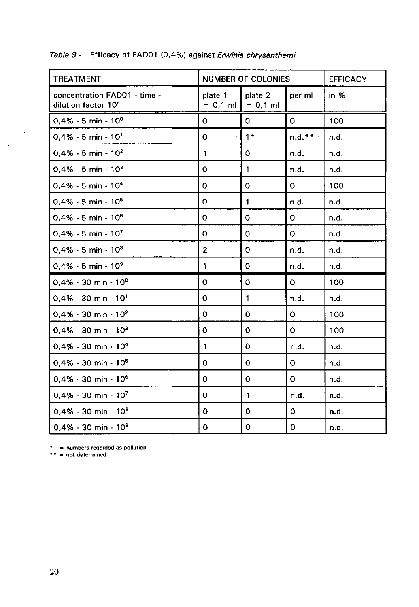| <b>TREATMENT</b>                                    |                       | <b>NUMBER OF COLONIES</b> |              | <b>EFFICACY</b> |
|-----------------------------------------------------|-----------------------|---------------------------|--------------|-----------------|
| concentration FAD01 - time -<br>dilution factor 10" | plate 1<br>$= 0,1$ ml | plate 2<br>$= 0,1$ ml     | per ml       | in $%$          |
| $0.4\% - 5$ min - $10^0$                            | $\mathbf 0$           | $\mathbf{O}$              | $\mathbf 0$  | 100             |
| $0.4\% - 5$ min - $101$                             | $\mathbf o$           | $1*$                      | $n.d.***$    | n.d.            |
| $0.4\% - 5$ min - $10^2$                            | $\mathbf{1}$          | $\circ$                   | n.d.         | n.d.            |
| $0,4% - 5$ min - $103$                              | O                     | $\mathbf{1}$              | n.d.         | n.d.            |
| $0.4\% - 5$ min - $104$                             | $\mathbf{o}$          | $\mathbf 0$               | $\mathbf{O}$ | 100             |
| $0.4\% - 5$ min - $105$                             | O                     | 1                         | n.d.         | n.d.            |
| $0.4\% - 5$ min - $10^6$                            | $\mathbf{o}$          | $\mathbf O$               | $\mathbf 0$  | n.d.            |
| $0.4\% - 5$ min - $10^7$                            | $\mathbf 0$           | O                         | $\mathbf{O}$ | n.d.            |
| $0.4\% - 5$ min - $10^8$                            | $\overline{2}$        | 0                         | n.d.         | n.d.            |
| $0,4% - 5$ min - $109$                              | $\mathbf{1}$          | 0                         | n.d.         | n.d.            |
| $0,4% - 30$ min - $10^{\circ}$                      | $\mathbf 0$           | $\mathbf O$               | $\mathbf{O}$ | 100             |
| $0,4% - 30$ min - $10'$                             | 0                     | $\mathbf{1}$              | n.d.         | n.d.            |
| $0.4\% - 30$ min - $102$                            | $\circ$               | $\circ$                   | $\mathbf{o}$ | 100             |
| $0.4\% - 30$ min - $103$                            | $\mathbf 0$           | $\mathbf 0$               | $\mathbf{O}$ | 100             |
| $0,4% - 30$ min - $104$                             | $\mathbf{1}$          | $\mathbf O$               | n.d.         | n.d.            |
| $0.4\% - 30$ min - $105$                            | $\mathbf 0$           | $\mathbf O$               | 0            | n.d.            |
| $0,4\% - 30$ min - $10^6$                           | $\mathbf 0$           | $\mathbf O$               | $\mathbf{O}$ | n.d.            |
| $0.4\% - 30$ min - $107$                            | $\mathbf 0$           | $\mathbf 1$               | n.d.         | n.d.            |
| $0.4\% - 30$ min - $10^8$                           | $\mathbf{o}$          | $\mathbf 0$               | $\mathbf 0$  | n.d.            |
| $0,4% - 30$ min - $109$                             | $\mathbf{o}$          | $\mathbf 0$               | $\mathbf 0$  | n.d.            |

 $\sqrt{1-\frac{1}{2}}$ 

### Table 9 - Efficacy of FAD01 (0,4%) against Erwinia chrysanthemi

 $=$  numbers regarded as polluti

 $=$  not determine

 $\sigma_{\rm{eff}}=1.2$ 

 $\sim$   $\sim$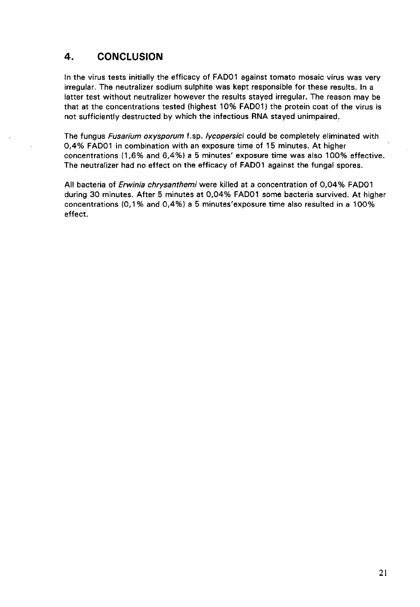## **4. CONCLUSION**

In the virus tests initially the efficacy of FAD01 against tomato mosaic virus was very irregular. The neutralizer sodium sulphite was kept responsible for these results. In a latter test without neutralizer however the results stayed irregular. The reason may be that at the concentrations tested (highest 10% FAD01) the protein coat of the virus is not sufficiently destructed by which the infectious RNA stayed unimpaired.

The fungus Fusarium oxysporum f.sp. lycopersici could be completely eliminated with 0,4% FAD01 in combination with an exposure time of 15 minutes. At higher concentrations (1,6% and 6,4%) a 5 minutes' exposure time was also 100% effective. The neutralizer had no effect on the efficacy of FAD01 against the fungal spores.

All bacteria of Erwinia chrysanthemi were killed at a concentration of 0,04% FAD01 during 30 minutes. After 5 minutes at 0,04% FAD01 some bacteria survived. At higher concentrations (0,1% and 0,4%) a 5 minutes'exposure time also resulted in a 100% effect.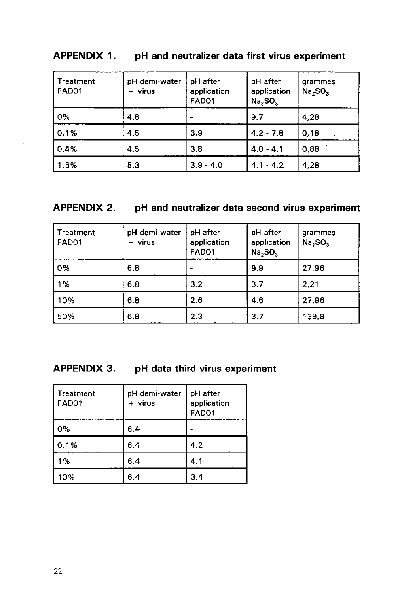| Treatment<br>FAD01 | pH demi-water<br>$+$ virus | pH after<br>application<br>FAD01 | pH after<br>application<br>Na <sub>2</sub> SO <sub>3</sub> | grammes<br>Na <sub>2</sub> SO <sub>3</sub> |
|--------------------|----------------------------|----------------------------------|------------------------------------------------------------|--------------------------------------------|
| 0%                 | 4.8                        |                                  | 9.7                                                        | 4,28                                       |
| 0,1%               | 4.5                        | 3.9                              | $4.2 - 7.8$                                                | 0.18                                       |
| 0,4%               | 4.5                        | 3.8                              | $4.0 - 4.1$                                                | 0,88                                       |
| 1,6%               | 5.3                        | $3.9 - 4.0$                      | $4.1 - 4.2$                                                | 4,28                                       |

## **APPENDIX 1. pH and neutralizer data first virus experiment**

# **APPENDIX 2. pH and neutralizer data second virus experiment**

| <b>Treatment</b><br>FAD01 | pH demi-water<br>$+$ virus | pH after<br>application<br>FAD01 | pH after<br>application<br>Na <sub>2</sub> SO <sub>3</sub> | grammes<br>Na <sub>2</sub> SO <sub>3</sub> |
|---------------------------|----------------------------|----------------------------------|------------------------------------------------------------|--------------------------------------------|
| 0%                        | 6.8                        |                                  | 9.9                                                        | 27,96                                      |
| 1%                        | 6.8                        | 3.2                              | 3.7                                                        | 2,21                                       |
| 10%                       | 6.8                        | 2.6                              | 4.6                                                        | 27,96                                      |
| 50%                       | 6.8                        | 2.3                              | 3.7                                                        | 139,8                                      |

# **APPENDIX 3. pH data third virus experiment**

| Treatment<br>FAD01 | pH demi-water<br>$+$ virus | pH after<br>application<br>FAD01 |
|--------------------|----------------------------|----------------------------------|
| 0%                 | 6.4                        |                                  |
| 0,1%               | 6.4                        | 4.2                              |
| 1%                 | 6.4                        | 4.1                              |
| 10%                | 6.4                        | 3.4                              |

l,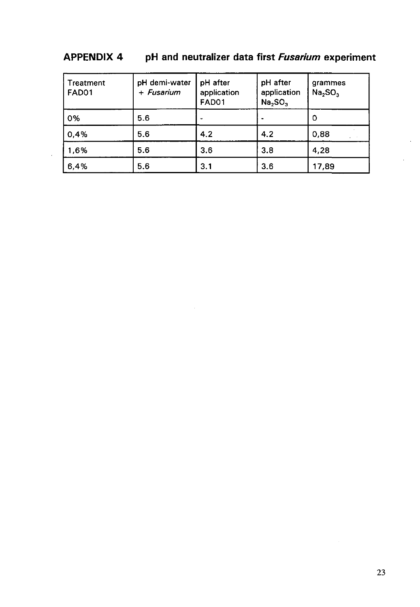| APPENDIX 4 |  |  | pH and neutralizer data first <i>Fusarium</i> experiment |  |
|------------|--|--|----------------------------------------------------------|--|
|------------|--|--|----------------------------------------------------------|--|

| Treatment<br>FAD01 | pH demi-water<br>+ Fusarium | pH after<br>application<br>FAD01 | pH after<br>application<br>Na <sub>2</sub> SO <sub>3</sub> | grammes<br>Na <sub>2</sub> SO <sub>3</sub> |
|--------------------|-----------------------------|----------------------------------|------------------------------------------------------------|--------------------------------------------|
| 0%                 | 5.6                         |                                  |                                                            | 0                                          |
| 0,4%               | 5.6                         | 4.2                              | 4.2                                                        | 0,88                                       |
| 1,6%               | 5.6                         | 3.6                              | 3.8                                                        | 4,28                                       |
| 6,4%               | 5.6                         | 3.1                              | 3.6                                                        | 17,89                                      |

 $\hat{\mathcal{A}}$ 

 $\mathcal{A}$ 

 $\ddot{\phantom{a}}$